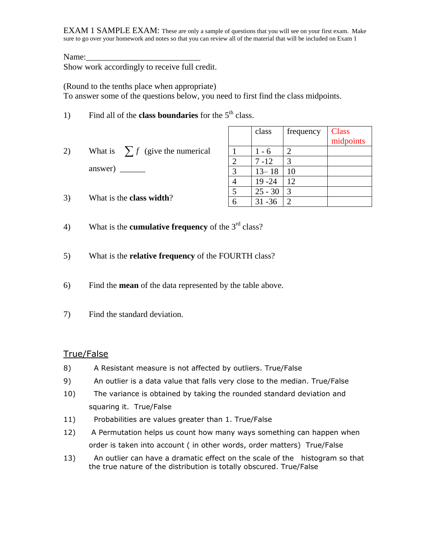Name:

Show work accordingly to receive full credit.

(Round to the tenths place when appropriate)

To answer some of the questions below, you need to first find the class midpoints.

- 1) Find all of the **class boundaries** for the 5<sup>th</sup> class.
- 2) What is  $\sum f$  (give the numerical answer)  $\_\_$

|   | class     | frequency | <b>Class</b><br>midpoints |
|---|-----------|-----------|---------------------------|
|   | $1 - 6$   |           |                           |
| 2 | $7 - 12$  | 3         |                           |
| 3 | $13 - 18$ | 10        |                           |
|   | $19 - 24$ | 12        |                           |
| 5 | $25 - 30$ | 3         |                           |
|   | $31 - 36$ | 2         |                           |

- 3) What is the **class width**?
- 4) What is the **cumulative frequency** of the 3rd class?
- 5) What is the **relative frequency** of the FOURTH class?
- 6) Find the **mean** of the data represented by the table above.
- 7) Find the standard deviation.

## True/False

- 8) A Resistant measure is not affected by outliers. True/False
- 9) An outlier is a data value that falls very close to the median. True/False
- 10) The variance is obtained by taking the rounded standard deviation and squaring it. True/False
- 11) Probabilities are values greater than 1. True/False
- 12) A Permutation helps us count how many ways something can happen when order is taken into account ( in other words, order matters) True/False
- 13) An outlier can have a dramatic effect on the scale of the histogram so that the true nature of the distribution is totally obscured. True/False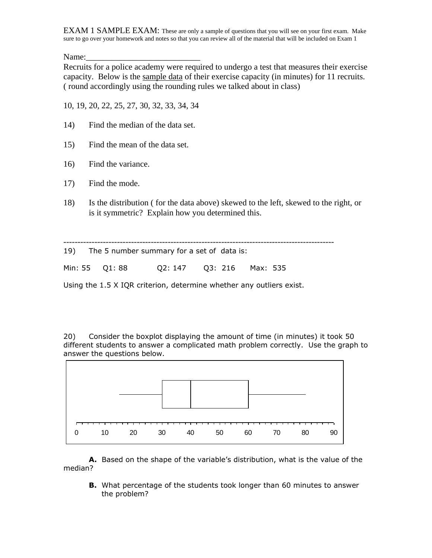Name:

Recruits for a police academy were required to undergo a test that measures their exercise capacity. Below is the sample data of their exercise capacity (in minutes) for 11 recruits. ( round accordingly using the rounding rules we talked about in class)

10, 19, 20, 22, 25, 27, 30, 32, 33, 34, 34

- 14) Find the median of the data set.
- 15) Find the mean of the data set.
- 16) Find the variance.
- 17) Find the mode.
- 18) Is the distribution ( for the data above) skewed to the left, skewed to the right, or is it symmetric? Explain how you determined this.

|                | 19) The 5 number summary for a set of data is: |  |  |
|----------------|------------------------------------------------|--|--|
| Min: 55 Q1: 88 | Q2: 147    Q3: 216    Max: 535                 |  |  |

Using the 1.5 X IQR criterion, determine whether any outliers exist.

20) Consider the boxplot displaying the amount of time (in minutes) it took 50 different students to answer a complicated math problem correctly. Use the graph to answer the questions below.



**A.** Based on the shape of the variable's distribution, what is the value of the median?

**B.** What percentage of the students took longer than 60 minutes to answer the problem?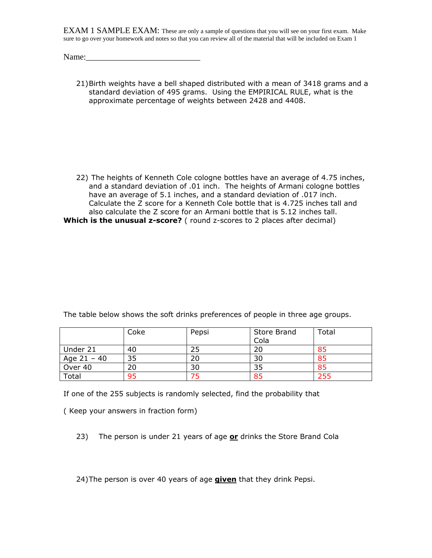| Name: |  |
|-------|--|
|       |  |

21)Birth weights have a bell shaped distributed with a mean of 3418 grams and a standard deviation of 495 grams. Using the EMPIRICAL RULE, what is the approximate percentage of weights between 2428 and 4408.

22) The heights of Kenneth Cole cologne bottles have an average of 4.75 inches, and a standard deviation of .01 inch. The heights of Armani cologne bottles have an average of 5.1 inches, and a standard deviation of .017 inch. Calculate the Z score for a Kenneth Cole bottle that is 4.725 inches tall and also calculate the Z score for an Armani bottle that is 5.12 inches tall. **Which is the unusual z-score?** ( round z-scores to 2 places after decimal)

|               | Coke | Pepsi | Store Brand | Total |
|---------------|------|-------|-------------|-------|
|               |      |       | Cola        |       |
| Under 21      | 40   |       |             |       |
| Age $21 - 40$ | 35   | 20    | 30          |       |
| Over 40       | 20   | 30    |             |       |

The table below shows the soft drinks preferences of people in three age groups.

If one of the 255 subjects is randomly selected, find the probability that

Total 95 75 85 255

( Keep your answers in fraction form)

23) The person is under 21 years of age **or** drinks the Store Brand Cola

24)The person is over 40 years of age **given** that they drink Pepsi.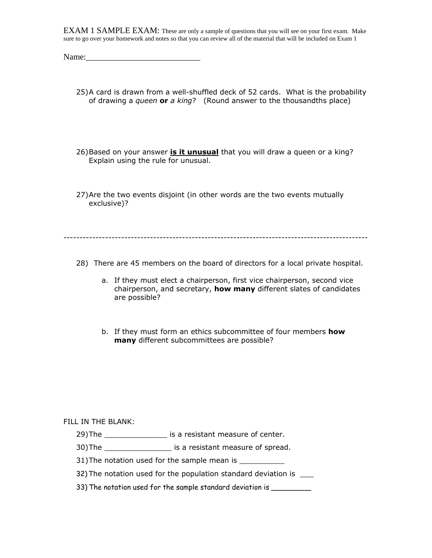- 25)A card is drawn from a well-shuffled deck of 52 cards. What is the probability of drawing a *queen* **or** *a king*? (Round answer to the thousandths place)
- 26)Based on your answer **is it unusual** that you will draw a queen or a king? Explain using the rule for unusual.
- 27)Are the two events disjoint (in other words are the two events mutually exclusive)?

-----------------------------------------------------------------------------------------------

- 28) There are 45 members on the board of directors for a local private hospital.
	- a. If they must elect a chairperson, first vice chairperson, second vice chairperson, and secretary, **how many** different slates of candidates are possible?
	- b. If they must form an ethics subcommittee of four members **how many** different subcommittees are possible?

## FILL IN THE BLANK:

- 29)The \_\_\_\_\_\_\_\_\_\_\_\_\_\_\_\_\_\_ is a resistant measure of center.
- 30)The \_\_\_\_\_\_\_\_\_\_\_\_\_\_\_ is a resistant measure of spread.
- 31) The notation used for the sample mean is \_\_\_\_\_\_\_\_\_\_
- 32) The notation used for the population standard deviation is
- 33) The notation used for the sample standard deviation is \_\_\_\_\_\_\_\_\_